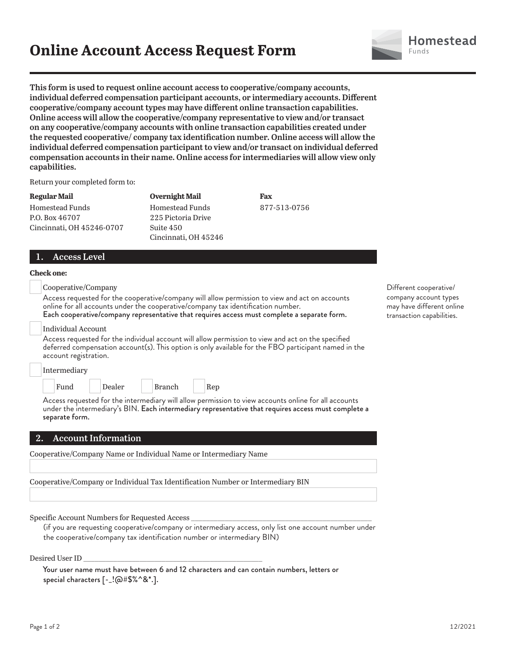## **Online Account Access Request Form**



**This form is used to request online account access to cooperative/company accounts, individual deferred compensation participant accounts, or intermediary accounts. Different cooperative/company account types may have different online transaction capabilities. Online access will allow the cooperative/company representative to view and/or transact on any cooperative/company accounts with online transaction capabilities created under the requested cooperative/ company tax identification number. Online access will allow the individual deferred compensation participant to view and/or transact on individual deferred compensation accounts in their name. Online access for intermediaries will allow view only capabilities.**

Return your completed form to:

**Regular Mail** Homestead Funds P.O. Box 46707 Cincinnati, OH 45246-0707

**Overnight Mail** Homestead Funds 225 Pictoria Drive Suite 450 Cincinnati, OH 45246 **Fax** 877-513-0756

## **1. Access Level**

#### **Check one:**

Cooperative/Company

Access requested for the cooperative/company will allow permission to view and act on accounts online for all accounts under the cooperative/company tax identification number. Each cooperative/company representative that requires access must complete a separate form.

Individual Account

Access requested for the individual account will allow permission to view and act on the specified deferred compensation account(s). This option is only available for the FBO participant named in the account registration.

| Intermediary |        |        |     |
|--------------|--------|--------|-----|
| Fund         | Dealer | Branch | Rep |

Access requested for the intermediary will allow permission to view accounts online for all accounts under the intermediary's BIN. Each intermediary representative that requires access must complete a separate form.

## **2. Account Information**

Cooperative/Company Name or Individual Name or Intermediary Name

Cooperative/Company or Individual Tax Identification Number or Intermediary BIN

Specific Account Numbers for Requested Access

 (if you are requesting cooperative/company or intermediary access, only list one account number under the cooperative/company tax identification number or intermediary BIN)

Desired User ID \_\_\_\_\_\_\_\_\_\_\_\_\_\_\_\_\_\_\_\_\_\_\_\_\_\_\_\_\_\_\_\_\_\_\_\_\_\_\_\_\_\_\_\_\_\_\_\_

|                                                                    | Your user name must have between 6 and 12 characters and can contain numbers, letters or |  |
|--------------------------------------------------------------------|------------------------------------------------------------------------------------------|--|
| special characters $[-.! \textcircled{a#S\%}^* \textcircled{3*}].$ |                                                                                          |  |

Different cooperative/ company account types may have different online transaction capabilities.